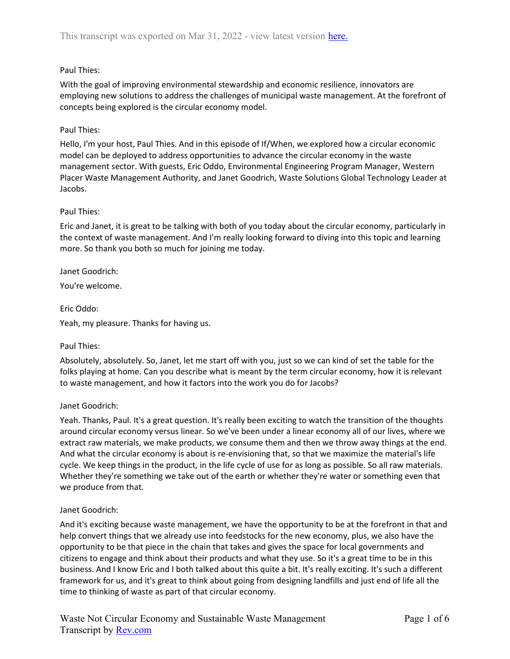# Paul Thies:

With the goal of improving environmental stewardship and economic resilience, innovators are employing new solutions to address the challenges of municipal waste management. At the forefront of concepts being explored is the circular economy model.

## Paul Thies:

Hello, I'm your host, Paul Thies. And in this episode of If/When, we explored how a circular economic model can be deployed to address opportunities to advance the circular economy in the waste management sector. With guests, Eric Oddo, Environmental Engineering Program Manager, Western Placer Waste Management Authority, and Janet Goodrich, Waste Solutions Global Technology Leader at Jacobs.

## Paul Thies:

Eric and Janet, it is great to be talking with both of you today about the circular economy, particularly in the context of waste management. And I'm really looking forward to diving into this topic and learning more. So thank you both so much for joining me today.

## Janet Goodrich:

You're welcome.

#### Eric Oddo:

Yeah, my pleasure. Thanks for having us.

#### Paul Thies:

Absolutely, absolutely. So, Janet, let me start off with you, just so we can kind of set the table for the folks playing at home. Can you describe what is meant by the term circular economy, how it is relevant to waste management, and how it factors into the work you do for Jacobs?

## Janet Goodrich:

Yeah. Thanks, Paul. It's a great question. It's really been exciting to watch the transition of the thoughts around circular economy versus linear. So we've been under a linear economy all of our lives, where we extract raw materials, we make products, we consume them and then we throw away things at the end. And what the circular economy is about is re-envisioning that, so that we maximize the material's life cycle. We keep things in the product, in the life cycle of use for as long as possible. So all raw materials. Whether they're something we take out of the earth or whether they're water or something even that we produce from that.

## Janet Goodrich:

And it's exciting because waste management, we have the opportunity to be at the forefront in that and help convert things that we already use into feedstocks for the new economy, plus, we also have the opportunity to be that piece in the chain that takes and gives the space for local governments and citizens to engage and think about their products and what they use. So it's a great time to be in this business. And I know Eric and I both talked about this quite a bit. It's really exciting. It's such a different framework for us, and it's great to think about going from designing landfills and just end of life all the time to thinking of waste as part of that circular economy.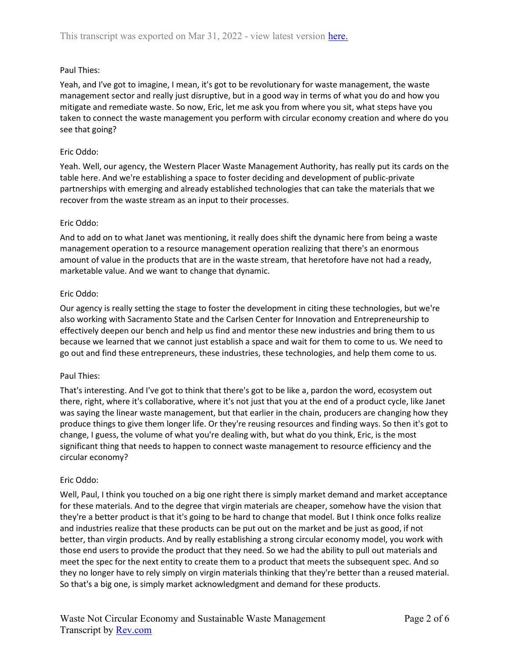# Paul Thies:

Yeah, and I've got to imagine, I mean, it's got to be revolutionary for waste management, the waste management sector and really just disruptive, but in a good way in terms of what you do and how you mitigate and remediate waste. So now, Eric, let me ask you from where you sit, what steps have you taken to connect the waste management you perform with circular economy creation and where do you see that going?

#### Eric Oddo:

Yeah. Well, our agency, the Western Placer Waste Management Authority, has really put its cards on the table here. And we're establishing a space to foster deciding and development of public-private partnerships with emerging and already established technologies that can take the materials that we recover from the waste stream as an input to their processes.

#### Eric Oddo:

And to add on to what Janet was mentioning, it really does shift the dynamic here from being a waste management operation to a resource management operation realizing that there's an enormous amount of value in the products that are in the waste stream, that heretofore have not had a ready, marketable value. And we want to change that dynamic.

#### Eric Oddo:

Our agency is really setting the stage to foster the development in citing these technologies, but we're also working with Sacramento State and the Carlsen Center for Innovation and Entrepreneurship to effectively deepen our bench and help us find and mentor these new industries and bring them to us because we learned that we cannot just establish a space and wait for them to come to us. We need to go out and find these entrepreneurs, these industries, these technologies, and help them come to us.

#### Paul Thies:

That's interesting. And I've got to think that there's got to be like a, pardon the word, ecosystem out there, right, where it's collaborative, where it's not just that you at the end of a product cycle, like Janet was saying the linear waste management, but that earlier in the chain, producers are changing how they produce things to give them longer life. Or they're reusing resources and finding ways. So then it's got to change, I guess, the volume of what you're dealing with, but what do you think, Eric, is the most significant thing that needs to happen to connect waste management to resource efficiency and the circular economy?

## Eric Oddo:

Well, Paul, I think you touched on a big one right there is simply market demand and market acceptance for these materials. And to the degree that virgin materials are cheaper, somehow have the vision that they're a better product is that it's going to be hard to change that model. But I think once folks realize and industries realize that these products can be put out on the market and be just as good, if not better, than virgin products. And by really establishing a strong circular economy model, you work with those end users to provide the product that they need. So we had the ability to pull out materials and meet the spec for the next entity to create them to a product that meets the subsequent spec. And so they no longer have to rely simply on virgin materials thinking that they're better than a reused material. So that's a big one, is simply market acknowledgment and demand for these products.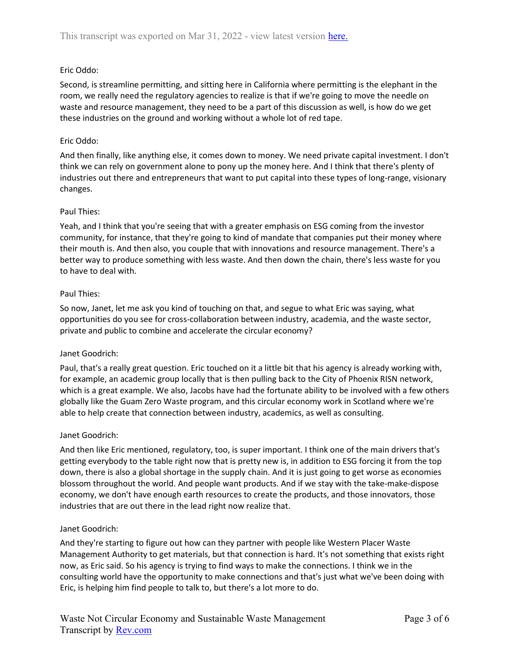# Eric Oddo:

Second, is streamline permitting, and sitting here in California where permitting is the elephant in the room, we really need the regulatory agencies to realize is that if we're going to move the needle on waste and resource management, they need to be a part of this discussion as well, is how do we get these industries on the ground and working without a whole lot of red tape.

## Eric Oddo:

And then finally, like anything else, it comes down to money. We need private capital investment. I don't think we can rely on government alone to pony up the money here. And I think that there's plenty of industries out there and entrepreneurs that want to put capital into these types of long-range, visionary changes.

## Paul Thies:

Yeah, and I think that you're seeing that with a greater emphasis on ESG coming from the investor community, for instance, that they're going to kind of mandate that companies put their money where their mouth is. And then also, you couple that with innovations and resource management. There's a better way to produce something with less waste. And then down the chain, there's less waste for you to have to deal with.

#### Paul Thies:

So now, Janet, let me ask you kind of touching on that, and segue to what Eric was saying, what opportunities do you see for cross-collaboration between industry, academia, and the waste sector, private and public to combine and accelerate the circular economy?

## Janet Goodrich:

Paul, that's a really great question. Eric touched on it a little bit that his agency is already working with, for example, an academic group locally that is then pulling back to the City of Phoenix RISN network, which is a great example. We also, Jacobs have had the fortunate ability to be involved with a few others globally like the Guam Zero Waste program, and this circular economy work in Scotland where we're able to help create that connection between industry, academics, as well as consulting.

## Janet Goodrich:

And then like Eric mentioned, regulatory, too, is super important. I think one of the main drivers that's getting everybody to the table right now that is pretty new is, in addition to ESG forcing it from the top down, there is also a global shortage in the supply chain. And it is just going to get worse as economies blossom throughout the world. And people want products. And if we stay with the take-make-dispose economy, we don't have enough earth resources to create the products, and those innovators, those industries that are out there in the lead right now realize that.

## Janet Goodrich:

And they're starting to figure out how can they partner with people like Western Placer Waste Management Authority to get materials, but that connection is hard. It's not something that exists right now, as Eric said. So his agency is trying to find ways to make the connections. I think we in the consulting world have the opportunity to make connections and that's just what we've been doing with Eric, is helping him find people to talk to, but there's a lot more to do.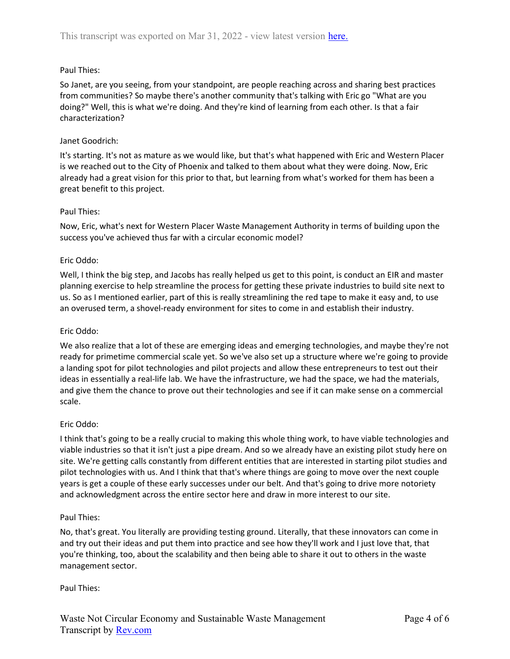# Paul Thies:

So Janet, are you seeing, from your standpoint, are people reaching across and sharing best practices from communities? So maybe there's another community that's talking with Eric go "What are you doing?" Well, this is what we're doing. And they're kind of learning from each other. Is that a fair characterization?

## Janet Goodrich:

It's starting. It's not as mature as we would like, but that's what happened with Eric and Western Placer is we reached out to the City of Phoenix and talked to them about what they were doing. Now, Eric already had a great vision for this prior to that, but learning from what's worked for them has been a great benefit to this project.

## Paul Thies:

Now, Eric, what's next for Western Placer Waste Management Authority in terms of building upon the success you've achieved thus far with a circular economic model?

## Eric Oddo:

Well, I think the big step, and Jacobs has really helped us get to this point, is conduct an EIR and master planning exercise to help streamline the process for getting these private industries to build site next to us. So as I mentioned earlier, part of this is really streamlining the red tape to make it easy and, to use an overused term, a shovel-ready environment for sites to come in and establish their industry.

## Eric Oddo:

We also realize that a lot of these are emerging ideas and emerging technologies, and maybe they're not ready for primetime commercial scale yet. So we've also set up a structure where we're going to provide a landing spot for pilot technologies and pilot projects and allow these entrepreneurs to test out their ideas in essentially a real-life lab. We have the infrastructure, we had the space, we had the materials, and give them the chance to prove out their technologies and see if it can make sense on a commercial scale.

## Eric Oddo:

I think that's going to be a really crucial to making this whole thing work, to have viable technologies and viable industries so that it isn't just a pipe dream. And so we already have an existing pilot study here on site. We're getting calls constantly from different entities that are interested in starting pilot studies and pilot technologies with us. And I think that that's where things are going to move over the next couple years is get a couple of these early successes under our belt. And that's going to drive more notoriety and acknowledgment across the entire sector here and draw in more interest to our site.

## Paul Thies:

No, that's great. You literally are providing testing ground. Literally, that these innovators can come in and try out their ideas and put them into practice and see how they'll work and I just love that, that you're thinking, too, about the scalability and then being able to share it out to others in the waste management sector.

## Paul Thies: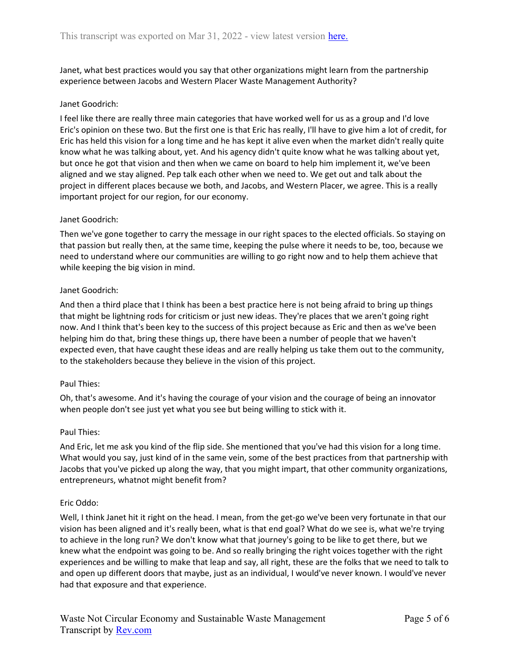Janet, what best practices would you say that other organizations might learn from the partnership experience between Jacobs and Western Placer Waste Management Authority?

# Janet Goodrich:

I feel like there are really three main categories that have worked well for us as a group and I'd love Eric's opinion on these two. But the first one is that Eric has really, I'll have to give him a lot of credit, for Eric has held this vision for a long time and he has kept it alive even when the market didn't really quite know what he was talking about, yet. And his agency didn't quite know what he was talking about yet, but once he got that vision and then when we came on board to help him implement it, we've been aligned and we stay aligned. Pep talk each other when we need to. We get out and talk about the project in different places because we both, and Jacobs, and Western Placer, we agree. This is a really important project for our region, for our economy.

## Janet Goodrich:

Then we've gone together to carry the message in our right spaces to the elected officials. So staying on that passion but really then, at the same time, keeping the pulse where it needs to be, too, because we need to understand where our communities are willing to go right now and to help them achieve that while keeping the big vision in mind.

#### Janet Goodrich:

And then a third place that I think has been a best practice here is not being afraid to bring up things that might be lightning rods for criticism or just new ideas. They're places that we aren't going right now. And I think that's been key to the success of this project because as Eric and then as we've been helping him do that, bring these things up, there have been a number of people that we haven't expected even, that have caught these ideas and are really helping us take them out to the community, to the stakeholders because they believe in the vision of this project.

## Paul Thies:

Oh, that's awesome. And it's having the courage of your vision and the courage of being an innovator when people don't see just yet what you see but being willing to stick with it.

#### Paul Thies:

And Eric, let me ask you kind of the flip side. She mentioned that you've had this vision for a long time. What would you say, just kind of in the same vein, some of the best practices from that partnership with Jacobs that you've picked up along the way, that you might impart, that other community organizations, entrepreneurs, whatnot might benefit from?

## Eric Oddo:

Well, I think Janet hit it right on the head. I mean, from the get-go we've been very fortunate in that our vision has been aligned and it's really been, what is that end goal? What do we see is, what we're trying to achieve in the long run? We don't know what that journey's going to be like to get there, but we knew what the endpoint was going to be. And so really bringing the right voices together with the right experiences and be willing to make that leap and say, all right, these are the folks that we need to talk to and open up different doors that maybe, just as an individual, I would've never known. I would've never had that exposure and that experience.